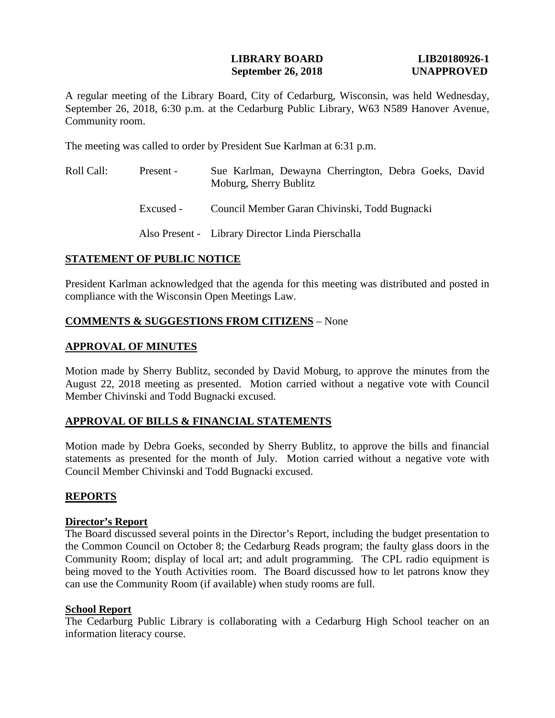### **LIBRARY BOARD LIB20180926-1 September 26, 2018 UNAPPROVED**

A regular meeting of the Library Board, City of Cedarburg, Wisconsin, was held Wednesday, September 26, 2018, 6:30 p.m. at the Cedarburg Public Library, W63 N589 Hanover Avenue, Community room.

The meeting was called to order by President Sue Karlman at 6:31 p.m.

Roll Call: Present - Excused - Sue Karlman, Dewayna Cherrington, Debra Goeks, David Moburg, Sherry Bublitz Council Member Garan Chivinski, Todd Bugnacki Also Present - Library Director Linda Pierschalla

# **STATEMENT OF PUBLIC NOTICE**

President Karlman acknowledged that the agenda for this meeting was distributed and posted in compliance with the Wisconsin Open Meetings Law.

# **COMMENTS & SUGGESTIONS FROM CITIZENS** – None

# **APPROVAL OF MINUTES**

Motion made by Sherry Bublitz, seconded by David Moburg, to approve the minutes from the August 22, 2018 meeting as presented. Motion carried without a negative vote with Council Member Chivinski and Todd Bugnacki excused.

# **APPROVAL OF BILLS & FINANCIAL STATEMENTS**

Motion made by Debra Goeks, seconded by Sherry Bublitz, to approve the bills and financial statements as presented for the month of July. Motion carried without a negative vote with Council Member Chivinski and Todd Bugnacki excused.

# **REPORTS**

### **Director's Report**

The Board discussed several points in the Director's Report, including the budget presentation to the Common Council on October 8; the Cedarburg Reads program; the faulty glass doors in the Community Room; display of local art; and adult programming. The CPL radio equipment is being moved to the Youth Activities room. The Board discussed how to let patrons know they can use the Community Room (if available) when study rooms are full.

### **School Report**

The Cedarburg Public Library is collaborating with a Cedarburg High School teacher on an information literacy course.